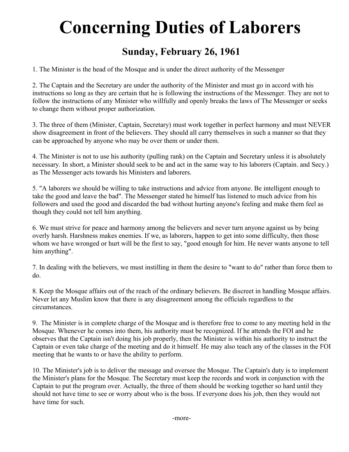## **Concerning Duties of Laborers**

## **Sunday, February 26, 1961**

1. The Minister is the head of the Mosque and is under the direct authority of the Messenger

2. The Captain and the Secretary are under the authority of the Minister and must go in accord with his instructions so long as they are certain that he is following the instructions of the Messenger. They are not to follow the instructions of any Minister who willfully and openly breaks the laws of The Messenger or seeks to change them without proper authorization.

3. The three of them (Minister, Captain, Secretary) must work together in perfect harmony and must NEVER show disagreement in front of the believers. They should all carry themselves in such a manner so that they can be approached by anyone who may be over them or under them.

4. The Minister is not to use his authority (pulling rank) on the Captain and Secretary unless it is absolutely necessary. In short, a Minister should seek to be and act in the same way to his laborers (Captain. and Secy.) as The Messenger acts towards his Ministers and laborers.

5. "A laborers we should be willing to take instructions and advice from anyone. Be intelligent enough to take the good and leave the bad". The Messenger stated he himself has listened to much advice from his followers and used the good and discarded the bad without hurting anyone's feeling and make them feel as though they could not tell him anything.

6. We must strive for peace and harmony among the believers and never turn anyone against us by being overly harsh. Harshness makes enemies. If we, as laborers, happen to get into some difficulty, then those whom we have wronged or hurt will be the first to say, "good enough for him. He never wants anyone to tell him anything".

7. In dealing with the believers, we must instilling in them the desire to "want to do" rather than force them to do.

8. Keep the Mosque affairs out of the reach of the ordinary believers. Be discreet in handling Mosque affairs. Never let any Muslim know that there is any disagreement among the officials regardless to the circumstances.

9. The Minister is in complete charge of the Mosque and is therefore free to come to any meeting held in the Mosque. Whenever he comes into them, his authority must be recognized. If he attends the FOI and he observes that the Captain isn't doing his job properly, then the Minister is within his authority to instruct the Captain or even take charge of the meeting and do it himself. He may also teach any of the classes in the FOI meeting that he wants to or have the ability to perform.

10. The Minister's job is to deliver the message and oversee the Mosque. The Captain's duty is to implement the Minister's plans for the Mosque. The Secretary must keep the records and work in conjunction with the Captain to put the program over. Actually, the three of them should be working together so hard until they should not have time to see or worry about who is the boss. If everyone does his job, then they would not have time for such.